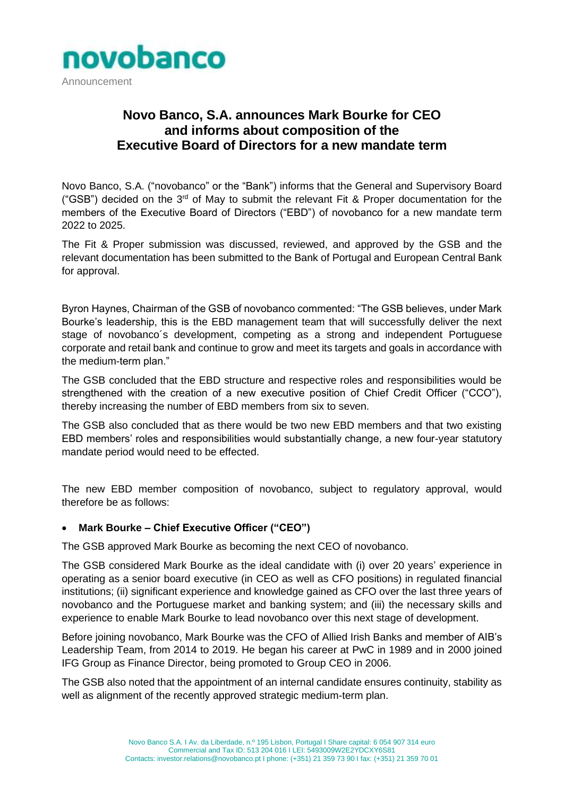

# **Novo Banco, S.A. announces Mark Bourke for CEO and informs about composition of the Executive Board of Directors for a new mandate term**

Novo Banco, S.A. ("novobanco" or the "Bank") informs that the General and Supervisory Board ("GSB") decided on the  $3<sup>rd</sup>$  of May to submit the relevant Fit & Proper documentation for the members of the Executive Board of Directors ("EBD") of novobanco for a new mandate term 2022 to 2025.

The Fit & Proper submission was discussed, reviewed, and approved by the GSB and the relevant documentation has been submitted to the Bank of Portugal and European Central Bank for approval.

Byron Haynes, Chairman of the GSB of novobanco commented: "The GSB believes, under Mark Bourke's leadership, this is the EBD management team that will successfully deliver the next stage of novobanco´s development, competing as a strong and independent Portuguese corporate and retail bank and continue to grow and meet its targets and goals in accordance with the medium-term plan."

The GSB concluded that the EBD structure and respective roles and responsibilities would be strengthened with the creation of a new executive position of Chief Credit Officer ("CCO"), thereby increasing the number of EBD members from six to seven.

The GSB also concluded that as there would be two new EBD members and that two existing EBD members' roles and responsibilities would substantially change, a new four-year statutory mandate period would need to be effected.

The new EBD member composition of novobanco, subject to regulatory approval, would therefore be as follows:

#### • **Mark Bourke – Chief Executive Officer ("CEO")**

The GSB approved Mark Bourke as becoming the next CEO of novobanco.

The GSB considered Mark Bourke as the ideal candidate with (i) over 20 years' experience in operating as a senior board executive (in CEO as well as CFO positions) in regulated financial institutions; (ii) significant experience and knowledge gained as CFO over the last three years of novobanco and the Portuguese market and banking system; and (iii) the necessary skills and experience to enable Mark Bourke to lead novobanco over this next stage of development.

Before joining novobanco, Mark Bourke was the CFO of Allied Irish Banks and member of AIB's Leadership Team, from 2014 to 2019. He began his career at PwC in 1989 and in 2000 joined IFG Group as Finance Director, being promoted to Group CEO in 2006.

The GSB also noted that the appointment of an internal candidate ensures continuity, stability as well as alignment of the recently approved strategic medium-term plan.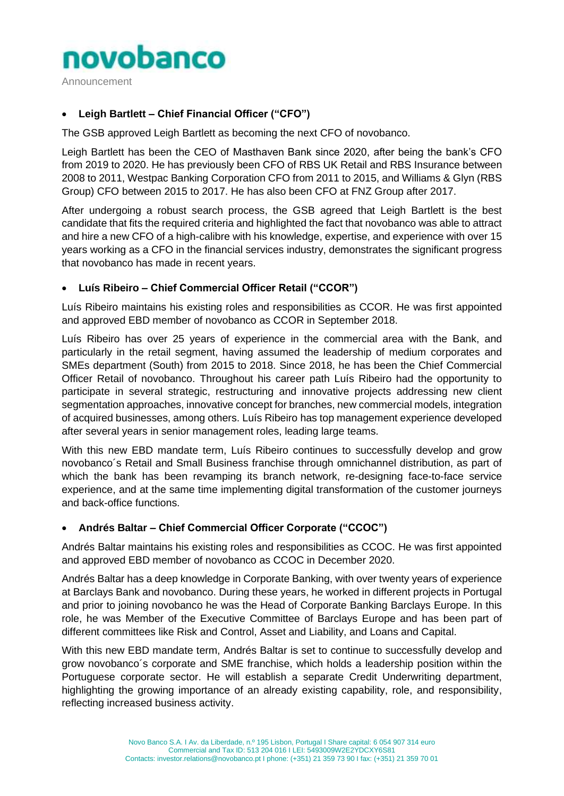

Announcement

# • **Leigh Bartlett – Chief Financial Officer ("CFO")**

The GSB approved Leigh Bartlett as becoming the next CFO of novobanco.

Leigh Bartlett has been the CEO of Masthaven Bank since 2020, after being the bank's CFO from 2019 to 2020. He has previously been CFO of RBS UK Retail and RBS Insurance between 2008 to 2011, Westpac Banking Corporation CFO from 2011 to 2015, and Williams & Glyn (RBS Group) CFO between 2015 to 2017. He has also been CFO at FNZ Group after 2017.

After undergoing a robust search process, the GSB agreed that Leigh Bartlett is the best candidate that fits the required criteria and highlighted the fact that novobanco was able to attract and hire a new CFO of a high-calibre with his knowledge, expertise, and experience with over 15 years working as a CFO in the financial services industry, demonstrates the significant progress that novobanco has made in recent years.

# • **Luís Ribeiro – Chief Commercial Officer Retail ("CCOR")**

Luís Ribeiro maintains his existing roles and responsibilities as CCOR. He was first appointed and approved EBD member of novobanco as CCOR in September 2018.

Luís Ribeiro has over 25 years of experience in the commercial area with the Bank, and particularly in the retail segment, having assumed the leadership of medium corporates and SMEs department (South) from 2015 to 2018. Since 2018, he has been the Chief Commercial Officer Retail of novobanco. Throughout his career path Luís Ribeiro had the opportunity to participate in several strategic, restructuring and innovative projects addressing new client segmentation approaches, innovative concept for branches, new commercial models, integration of acquired businesses, among others. Luís Ribeiro has top management experience developed after several years in senior management roles, leading large teams.

With this new EBD mandate term, Luís Ribeiro continues to successfully develop and grow novobanco´s Retail and Small Business franchise through omnichannel distribution, as part of which the bank has been revamping its branch network, re-designing face-to-face service experience, and at the same time implementing digital transformation of the customer journeys and back-office functions.

#### • **Andrés Baltar – Chief Commercial Officer Corporate ("CCOC")**

Andrés Baltar maintains his existing roles and responsibilities as CCOC. He was first appointed and approved EBD member of novobanco as CCOC in December 2020.

Andrés Baltar has a deep knowledge in Corporate Banking, with over twenty years of experience at Barclays Bank and novobanco. During these years, he worked in different projects in Portugal and prior to joining novobanco he was the Head of Corporate Banking Barclays Europe. In this role, he was Member of the Executive Committee of Barclays Europe and has been part of different committees like Risk and Control, Asset and Liability, and Loans and Capital.

With this new EBD mandate term, Andrés Baltar is set to continue to successfully develop and grow novobanco´s corporate and SME franchise, which holds a leadership position within the Portuguese corporate sector. He will establish a separate Credit Underwriting department, highlighting the growing importance of an already existing capability, role, and responsibility, reflecting increased business activity.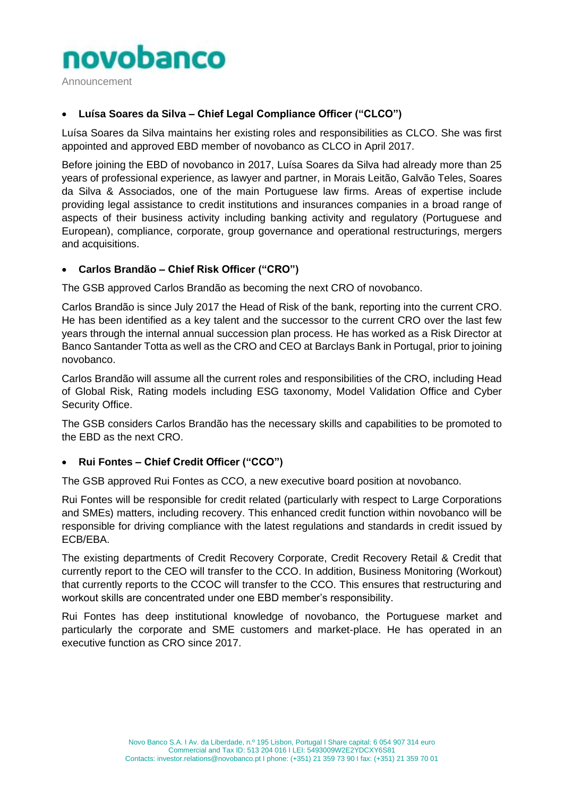

Announcement

# • **Luísa Soares da Silva – Chief Legal Compliance Officer ("CLCO")**

Luísa Soares da Silva maintains her existing roles and responsibilities as CLCO. She was first appointed and approved EBD member of novobanco as CLCO in April 2017.

Before joining the EBD of novobanco in 2017, Luísa Soares da Silva had already more than 25 years of professional experience, as lawyer and partner, in Morais Leitão, Galvão Teles, Soares da Silva & Associados, one of the main Portuguese law firms. Areas of expertise include providing legal assistance to credit institutions and insurances companies in a broad range of aspects of their business activity including banking activity and regulatory (Portuguese and European), compliance, corporate, group governance and operational restructurings, mergers and acquisitions.

# • **Carlos Brandão – Chief Risk Officer ("CRO")**

The GSB approved Carlos Brandão as becoming the next CRO of novobanco.

Carlos Brandão is since July 2017 the Head of Risk of the bank, reporting into the current CRO. He has been identified as a key talent and the successor to the current CRO over the last few years through the internal annual succession plan process. He has worked as a Risk Director at Banco Santander Totta as well as the CRO and CEO at Barclays Bank in Portugal, prior to joining novobanco.

Carlos Brandão will assume all the current roles and responsibilities of the CRO, including Head of Global Risk, Rating models including ESG taxonomy, Model Validation Office and Cyber Security Office.

The GSB considers Carlos Brandão has the necessary skills and capabilities to be promoted to the EBD as the next CRO.

#### • **Rui Fontes – Chief Credit Officer ("CCO")**

The GSB approved Rui Fontes as CCO, a new executive board position at novobanco.

Rui Fontes will be responsible for credit related (particularly with respect to Large Corporations and SMEs) matters, including recovery. This enhanced credit function within novobanco will be responsible for driving compliance with the latest regulations and standards in credit issued by ECB/EBA.

The existing departments of Credit Recovery Corporate, Credit Recovery Retail & Credit that currently report to the CEO will transfer to the CCO. In addition, Business Monitoring (Workout) that currently reports to the CCOC will transfer to the CCO. This ensures that restructuring and workout skills are concentrated under one EBD member's responsibility.

Rui Fontes has deep institutional knowledge of novobanco, the Portuguese market and particularly the corporate and SME customers and market-place. He has operated in an executive function as CRO since 2017.